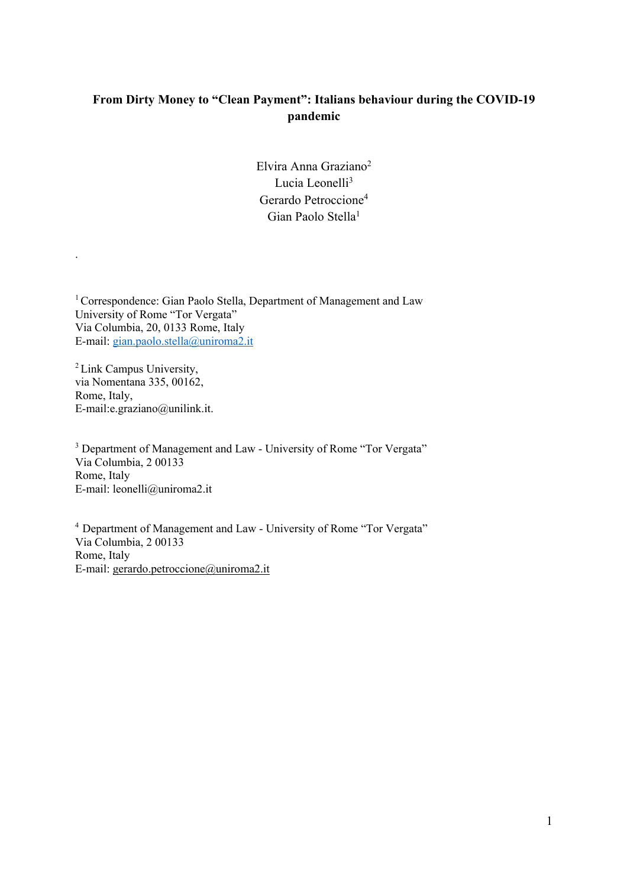# **From Dirty Money to "Clean Payment": Italians behaviour during the COVID-19 pandemic**

Elvira Anna Graziano2 Lucia Leonelli3 Gerardo Petroccione4 Gian Paolo Stella1

<sup>1</sup> Correspondence: Gian Paolo Stella, Department of Management and Law University of Rome "Tor Vergata" Via Columbia, 20, 0133 Rome, Italy E-mail: gian.paolo.stella@uniroma2.it

<sup>2</sup> Link Campus University, via Nomentana 335, 00162, Rome, Italy, E-mail:e.graziano@unilink.it.

.

<sup>3</sup> Department of Management and Law - University of Rome "Tor Vergata" Via Columbia, 2 00133 Rome, Italy E-mail: leonelli@uniroma2.it

4 Department of Management and Law - University of Rome "Tor Vergata" Via Columbia, 2 00133 Rome, Italy E-mail: gerardo.petroccione@uniroma2.it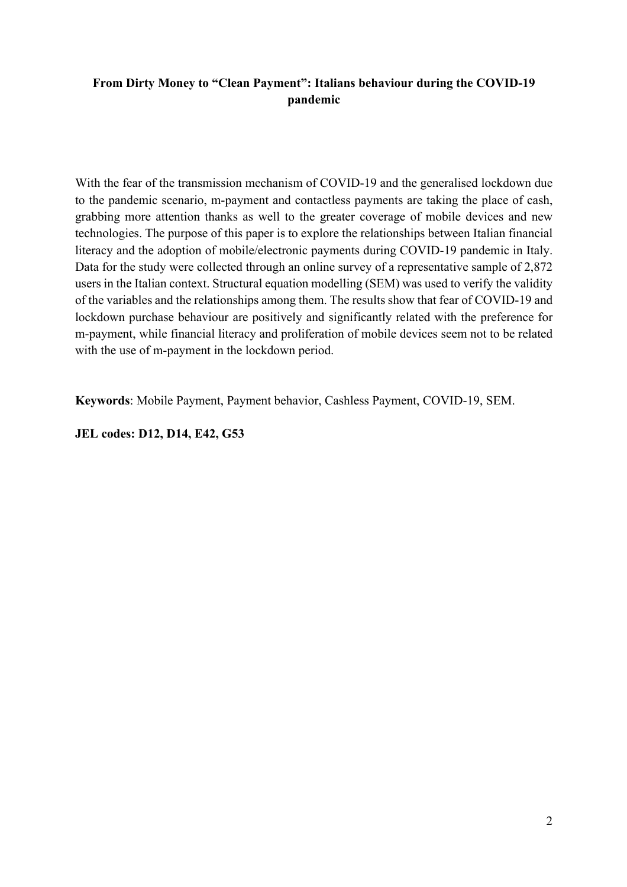# **From Dirty Money to "Clean Payment": Italians behaviour during the COVID-19 pandemic**

With the fear of the transmission mechanism of COVID-19 and the generalised lockdown due to the pandemic scenario, m-payment and contactless payments are taking the place of cash, grabbing more attention thanks as well to the greater coverage of mobile devices and new technologies. The purpose of this paper is to explore the relationships between Italian financial literacy and the adoption of mobile/electronic payments during COVID-19 pandemic in Italy. Data for the study were collected through an online survey of a representative sample of 2,872 users in the Italian context. Structural equation modelling (SEM) was used to verify the validity of the variables and the relationships among them. The results show that fear of COVID-19 and lockdown purchase behaviour are positively and significantly related with the preference for m-payment, while financial literacy and proliferation of mobile devices seem not to be related with the use of m-payment in the lockdown period.

**Keywords**: Mobile Payment, Payment behavior, Cashless Payment, COVID-19, SEM.

**JEL codes: D12, D14, E42, G53**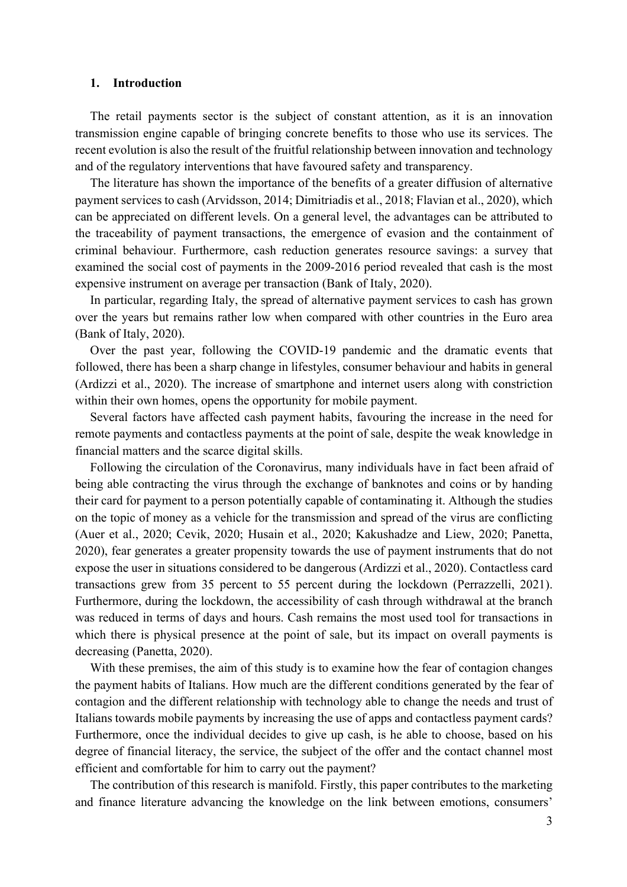#### **1. Introduction**

The retail payments sector is the subject of constant attention, as it is an innovation transmission engine capable of bringing concrete benefits to those who use its services. The recent evolution is also the result of the fruitful relationship between innovation and technology and of the regulatory interventions that have favoured safety and transparency.

The literature has shown the importance of the benefits of a greater diffusion of alternative payment services to cash (Arvidsson, 2014; Dimitriadis et al., 2018; Flavian et al., 2020), which can be appreciated on different levels. On a general level, the advantages can be attributed to the traceability of payment transactions, the emergence of evasion and the containment of criminal behaviour. Furthermore, cash reduction generates resource savings: a survey that examined the social cost of payments in the 2009-2016 period revealed that cash is the most expensive instrument on average per transaction (Bank of Italy, 2020).

In particular, regarding Italy, the spread of alternative payment services to cash has grown over the years but remains rather low when compared with other countries in the Euro area (Bank of Italy, 2020).

Over the past year, following the COVID-19 pandemic and the dramatic events that followed, there has been a sharp change in lifestyles, consumer behaviour and habits in general (Ardizzi et al., 2020). The increase of smartphone and internet users along with constriction within their own homes, opens the opportunity for mobile payment.

Several factors have affected cash payment habits, favouring the increase in the need for remote payments and contactless payments at the point of sale, despite the weak knowledge in financial matters and the scarce digital skills.

Following the circulation of the Coronavirus, many individuals have in fact been afraid of being able contracting the virus through the exchange of banknotes and coins or by handing their card for payment to a person potentially capable of contaminating it. Although the studies on the topic of money as a vehicle for the transmission and spread of the virus are conflicting (Auer et al., 2020; Cevik, 2020; Husain et al., 2020; Kakushadze and Liew, 2020; Panetta, 2020), fear generates a greater propensity towards the use of payment instruments that do not expose the user in situations considered to be dangerous (Ardizzi et al., 2020). Contactless card transactions grew from 35 percent to 55 percent during the lockdown (Perrazzelli, 2021). Furthermore, during the lockdown, the accessibility of cash through withdrawal at the branch was reduced in terms of days and hours. Cash remains the most used tool for transactions in which there is physical presence at the point of sale, but its impact on overall payments is decreasing (Panetta, 2020).

With these premises, the aim of this study is to examine how the fear of contagion changes the payment habits of Italians. How much are the different conditions generated by the fear of contagion and the different relationship with technology able to change the needs and trust of Italians towards mobile payments by increasing the use of apps and contactless payment cards? Furthermore, once the individual decides to give up cash, is he able to choose, based on his degree of financial literacy, the service, the subject of the offer and the contact channel most efficient and comfortable for him to carry out the payment?

The contribution of this research is manifold. Firstly, this paper contributes to the marketing and finance literature advancing the knowledge on the link between emotions, consumers'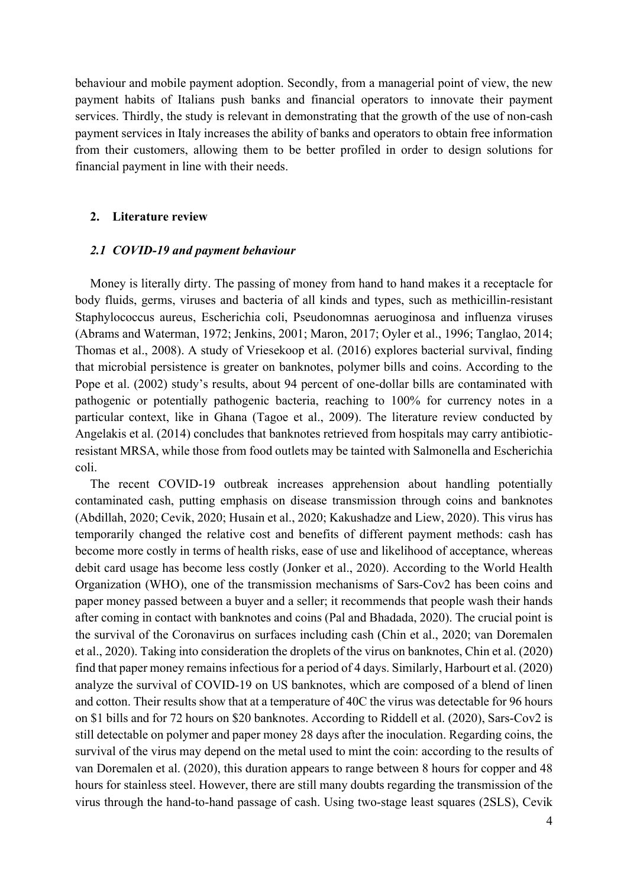behaviour and mobile payment adoption. Secondly, from a managerial point of view, the new payment habits of Italians push banks and financial operators to innovate their payment services. Thirdly, the study is relevant in demonstrating that the growth of the use of non-cash payment services in Italy increases the ability of banks and operators to obtain free information from their customers, allowing them to be better profiled in order to design solutions for financial payment in line with their needs.

#### **2. Literature review**

### *2.1 COVID-19 and payment behaviour*

Money is literally dirty. The passing of money from hand to hand makes it a receptacle for body fluids, germs, viruses and bacteria of all kinds and types, such as methicillin-resistant Staphylococcus aureus, Escherichia coli, Pseudonomnas aeruoginosa and influenza viruses (Abrams and Waterman, 1972; Jenkins, 2001; Maron, 2017; Oyler et al., 1996; Tanglao, 2014; Thomas et al., 2008). A study of Vriesekoop et al. (2016) explores bacterial survival, finding that microbial persistence is greater on banknotes, polymer bills and coins. According to the Pope et al. (2002) study's results, about 94 percent of one-dollar bills are contaminated with pathogenic or potentially pathogenic bacteria, reaching to 100% for currency notes in a particular context, like in Ghana (Tagoe et al., 2009). The literature review conducted by Angelakis et al. (2014) concludes that banknotes retrieved from hospitals may carry antibioticresistant MRSA, while those from food outlets may be tainted with Salmonella and Escherichia coli.

The recent COVID-19 outbreak increases apprehension about handling potentially contaminated cash, putting emphasis on disease transmission through coins and banknotes (Abdillah, 2020; Cevik, 2020; Husain et al., 2020; Kakushadze and Liew, 2020). This virus has temporarily changed the relative cost and benefits of different payment methods: cash has become more costly in terms of health risks, ease of use and likelihood of acceptance, whereas debit card usage has become less costly (Jonker et al., 2020). According to the World Health Organization (WHO), one of the transmission mechanisms of Sars-Cov2 has been coins and paper money passed between a buyer and a seller; it recommends that people wash their hands after coming in contact with banknotes and coins (Pal and Bhadada, 2020). The crucial point is the survival of the Coronavirus on surfaces including cash (Chin et al., 2020; van Doremalen et al., 2020). Taking into consideration the droplets of the virus on banknotes, Chin et al. (2020) find that paper money remains infectious for a period of 4 days. Similarly, Harbourt et al. (2020) analyze the survival of COVID-19 on US banknotes, which are composed of a blend of linen and cotton. Their results show that at a temperature of 40C the virus was detectable for 96 hours on \$1 bills and for 72 hours on \$20 banknotes. According to Riddell et al. (2020), Sars-Cov2 is still detectable on polymer and paper money 28 days after the inoculation. Regarding coins, the survival of the virus may depend on the metal used to mint the coin: according to the results of van Doremalen et al. (2020), this duration appears to range between 8 hours for copper and 48 hours for stainless steel. However, there are still many doubts regarding the transmission of the virus through the hand-to-hand passage of cash. Using two-stage least squares (2SLS), Cevik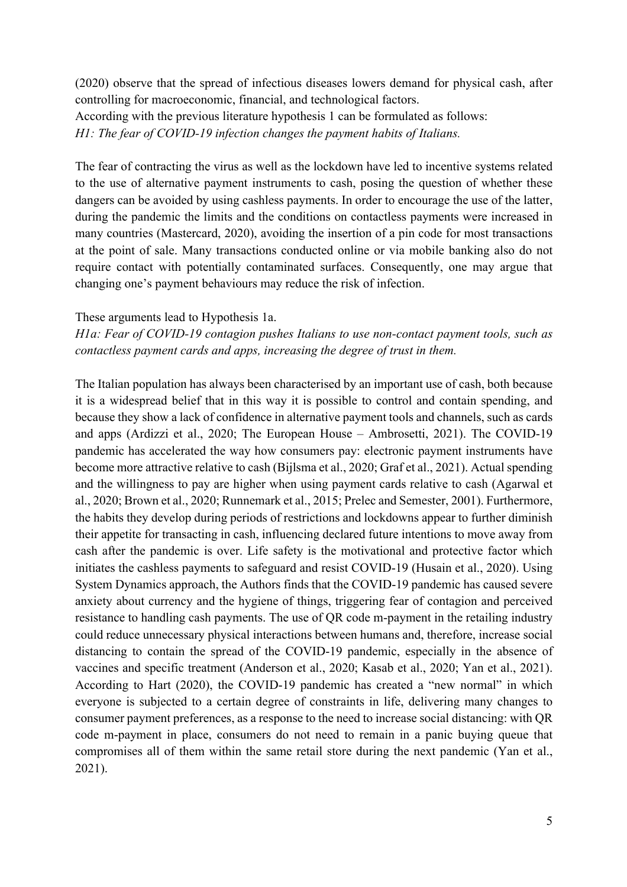(2020) observe that the spread of infectious diseases lowers demand for physical cash, after controlling for macroeconomic, financial, and technological factors. According with the previous literature hypothesis 1 can be formulated as follows: *H1: The fear of COVID-19 infection changes the payment habits of Italians.*

The fear of contracting the virus as well as the lockdown have led to incentive systems related to the use of alternative payment instruments to cash, posing the question of whether these dangers can be avoided by using cashless payments. In order to encourage the use of the latter, during the pandemic the limits and the conditions on contactless payments were increased in many countries (Mastercard, 2020), avoiding the insertion of a pin code for most transactions at the point of sale. Many transactions conducted online or via mobile banking also do not require contact with potentially contaminated surfaces. Consequently, one may argue that changing one's payment behaviours may reduce the risk of infection.

These arguments lead to Hypothesis 1a.

*H1a: Fear of COVID-19 contagion pushes Italians to use non-contact payment tools, such as contactless payment cards and apps, increasing the degree of trust in them.*

The Italian population has always been characterised by an important use of cash, both because it is a widespread belief that in this way it is possible to control and contain spending, and because they show a lack of confidence in alternative payment tools and channels, such as cards and apps (Ardizzi et al., 2020; The European House – Ambrosetti, 2021). The COVID-19 pandemic has accelerated the way how consumers pay: electronic payment instruments have become more attractive relative to cash (Bijlsma et al., 2020; Graf et al., 2021). Actual spending and the willingness to pay are higher when using payment cards relative to cash (Agarwal et al., 2020; Brown et al., 2020; Runnemark et al., 2015; Prelec and Semester, 2001). Furthermore, the habits they develop during periods of restrictions and lockdowns appear to further diminish their appetite for transacting in cash, influencing declared future intentions to move away from cash after the pandemic is over. Life safety is the motivational and protective factor which initiates the cashless payments to safeguard and resist COVID-19 (Husain et al., 2020). Using System Dynamics approach, the Authors finds that the COVID-19 pandemic has caused severe anxiety about currency and the hygiene of things, triggering fear of contagion and perceived resistance to handling cash payments. The use of QR code m-payment in the retailing industry could reduce unnecessary physical interactions between humans and, therefore, increase social distancing to contain the spread of the COVID-19 pandemic, especially in the absence of vaccines and specific treatment (Anderson et al., 2020; Kasab et al., 2020; Yan et al., 2021). According to Hart (2020), the COVID-19 pandemic has created a "new normal" in which everyone is subjected to a certain degree of constraints in life, delivering many changes to consumer payment preferences, as a response to the need to increase social distancing: with QR code m-payment in place, consumers do not need to remain in a panic buying queue that compromises all of them within the same retail store during the next pandemic (Yan et al., 2021).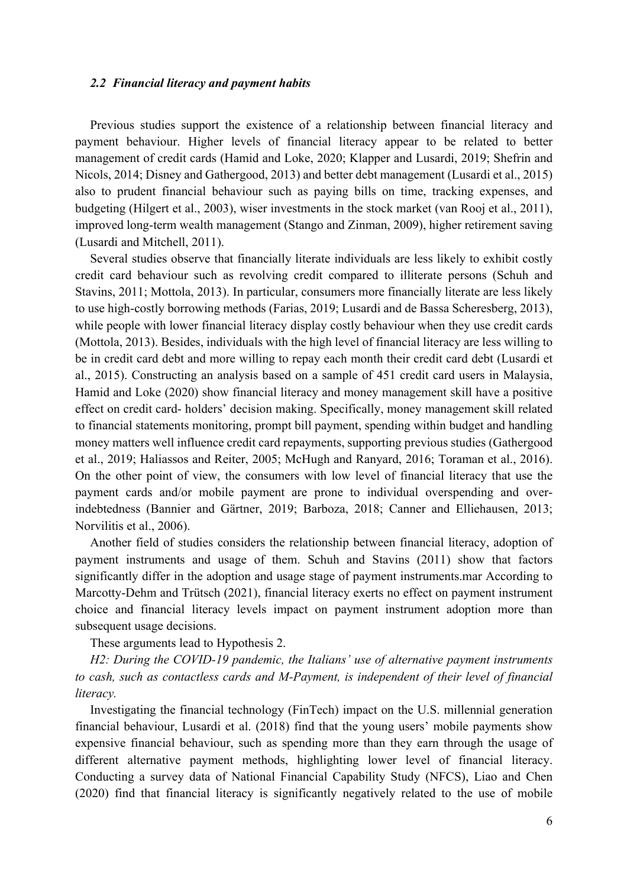#### *2.2 Financial literacy and payment habits*

Previous studies support the existence of a relationship between financial literacy and payment behaviour. Higher levels of financial literacy appear to be related to better management of credit cards (Hamid and Loke, 2020; Klapper and Lusardi, 2019; Shefrin and Nicols, 2014; Disney and Gathergood, 2013) and better debt management (Lusardi et al., 2015) also to prudent financial behaviour such as paying bills on time, tracking expenses, and budgeting (Hilgert et al., 2003), wiser investments in the stock market (van Rooj et al., 2011), improved long-term wealth management (Stango and Zinman, 2009), higher retirement saving (Lusardi and Mitchell, 2011).

Several studies observe that financially literate individuals are less likely to exhibit costly credit card behaviour such as revolving credit compared to illiterate persons (Schuh and Stavins, 2011; Mottola, 2013). In particular, consumers more financially literate are less likely to use high-costly borrowing methods (Farias, 2019; Lusardi and de Bassa Scheresberg, 2013), while people with lower financial literacy display costly behaviour when they use credit cards (Mottola, 2013). Besides, individuals with the high level of financial literacy are less willing to be in credit card debt and more willing to repay each month their credit card debt (Lusardi et al., 2015). Constructing an analysis based on a sample of 451 credit card users in Malaysia, Hamid and Loke (2020) show financial literacy and money management skill have a positive effect on credit card- holders' decision making. Specifically, money management skill related to financial statements monitoring, prompt bill payment, spending within budget and handling money matters well influence credit card repayments, supporting previous studies (Gathergood et al., 2019; Haliassos and Reiter, 2005; McHugh and Ranyard, 2016; Toraman et al., 2016). On the other point of view, the consumers with low level of financial literacy that use the payment cards and/or mobile payment are prone to individual overspending and overindebtedness (Bannier and Gärtner, 2019; Barboza, 2018; Canner and Elliehausen, 2013; Norvilitis et al., 2006).

Another field of studies considers the relationship between financial literacy, adoption of payment instruments and usage of them. Schuh and Stavins (2011) show that factors significantly differ in the adoption and usage stage of payment instruments.mar According to Marcotty-Dehm and Trütsch (2021), financial literacy exerts no effect on payment instrument choice and financial literacy levels impact on payment instrument adoption more than subsequent usage decisions.

These arguments lead to Hypothesis 2.

*H2: During the COVID-19 pandemic, the Italians' use of alternative payment instruments to cash, such as contactless cards and M-Payment, is independent of their level of financial literacy.* 

Investigating the financial technology (FinTech) impact on the U.S. millennial generation financial behaviour, Lusardi et al. (2018) find that the young users' mobile payments show expensive financial behaviour, such as spending more than they earn through the usage of different alternative payment methods, highlighting lower level of financial literacy. Conducting a survey data of National Financial Capability Study (NFCS), Liao and Chen (2020) find that financial literacy is significantly negatively related to the use of mobile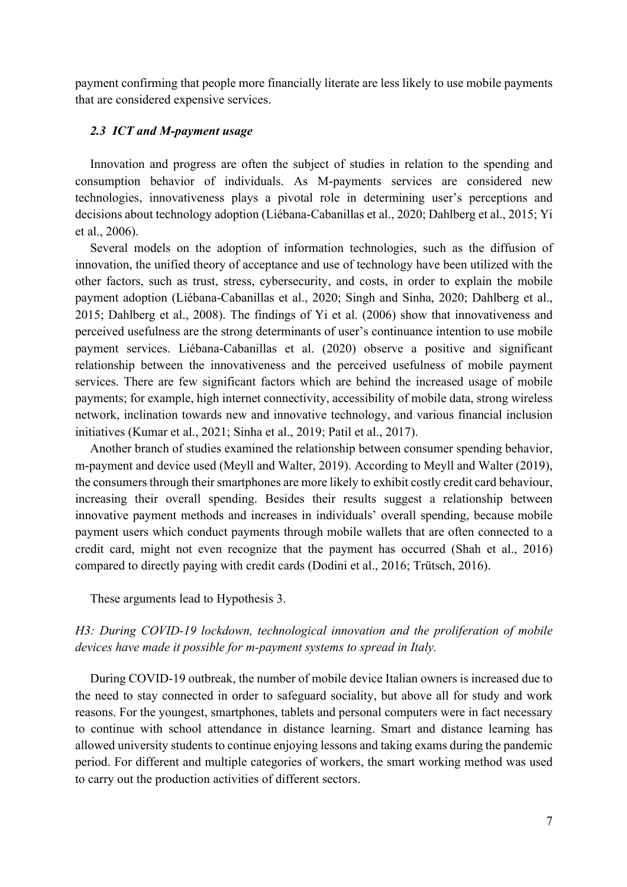payment confirming that people more financially literate are less likely to use mobile payments that are considered expensive services.

## *2.3 ICT and M-payment usage*

Innovation and progress are often the subject of studies in relation to the spending and consumption behavior of individuals. As M-payments services are considered new technologies, innovativeness plays a pivotal role in determining user's perceptions and decisions about technology adoption (Liébana-Cabanillas et al., 2020; Dahlberg et al., 2015; Yi et al., 2006).

Several models on the adoption of information technologies, such as the diffusion of innovation, the unified theory of acceptance and use of technology have been utilized with the other factors, such as trust, stress, cybersecurity, and costs, in order to explain the mobile payment adoption (Liébana-Cabanillas et al., 2020; Singh and Sinha, 2020; Dahlberg et al., 2015; Dahlberg et al., 2008). The findings of Yi et al. (2006) show that innovativeness and perceived usefulness are the strong determinants of user's continuance intention to use mobile payment services. Liébana-Cabanillas et al. (2020) observe a positive and significant relationship between the innovativeness and the perceived usefulness of mobile payment services. There are few significant factors which are behind the increased usage of mobile payments; for example, high internet connectivity, accessibility of mobile data, strong wireless network, inclination towards new and innovative technology, and various financial inclusion initiatives (Kumar et al., 2021; Sinha et al., 2019; Patil et al., 2017).

Another branch of studies examined the relationship between consumer spending behavior, m-payment and device used (Meyll and Walter, 2019). According to Meyll and Walter (2019), the consumers through their smartphones are more likely to exhibit costly credit card behaviour, increasing their overall spending. Besides their results suggest a relationship between innovative payment methods and increases in individuals' overall spending, because mobile payment users which conduct payments through mobile wallets that are often connected to a credit card, might not even recognize that the payment has occurred (Shah et al., 2016) compared to directly paying with credit cards (Dodini et al., 2016; Trütsch, 2016).

These arguments lead to Hypothesis 3.

# *H3: During COVID-19 lockdown, technological innovation and the proliferation of mobile devices have made it possible for m-payment systems to spread in Italy.*

During COVID-19 outbreak, the number of mobile device Italian owners is increased due to the need to stay connected in order to safeguard sociality, but above all for study and work reasons. For the youngest, smartphones, tablets and personal computers were in fact necessary to continue with school attendance in distance learning. Smart and distance learning has allowed university students to continue enjoying lessons and taking exams during the pandemic period. For different and multiple categories of workers, the smart working method was used to carry out the production activities of different sectors.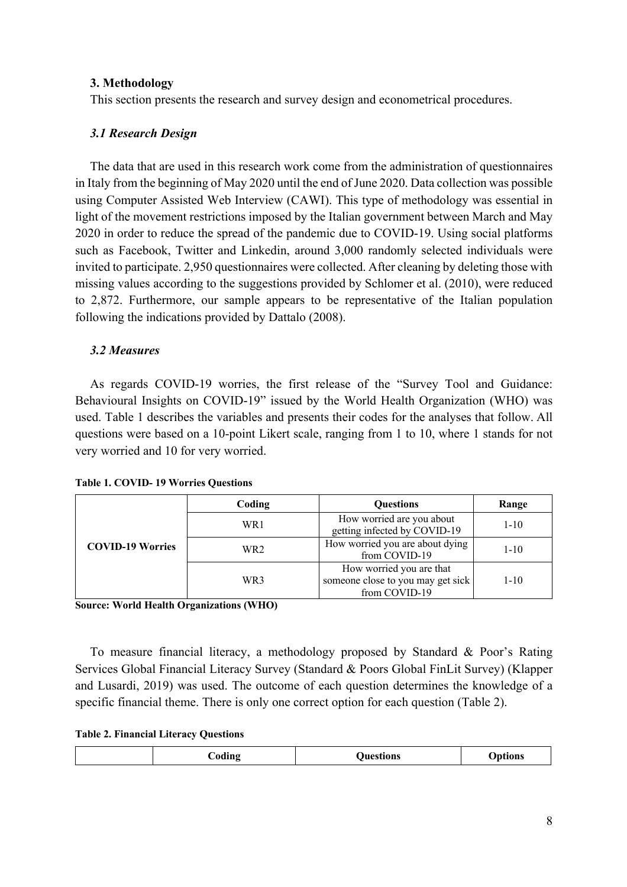## **3. Methodology**

This section presents the research and survey design and econometrical procedures.

## *3.1 Research Design*

The data that are used in this research work come from the administration of questionnaires in Italy from the beginning of May 2020 until the end of June 2020. Data collection was possible using Computer Assisted Web Interview (CAWI). This type of methodology was essential in light of the movement restrictions imposed by the Italian government between March and May 2020 in order to reduce the spread of the pandemic due to COVID-19. Using social platforms such as Facebook, Twitter and Linkedin, around 3,000 randomly selected individuals were invited to participate. 2,950 questionnaires were collected. After cleaning by deleting those with missing values according to the suggestions provided by Schlomer et al. (2010), were reduced to 2,872. Furthermore, our sample appears to be representative of the Italian population following the indications provided by Dattalo (2008).

# *3.2 Measures*

As regards COVID-19 worries, the first release of the "Survey Tool and Guidance: Behavioural Insights on COVID-19" issued by the World Health Organization (WHO) was used. Table 1 describes the variables and presents their codes for the analyses that follow. All questions were based on a 10-point Likert scale, ranging from 1 to 10, where 1 stands for not very worried and 10 for very worried.

|  | <b>Table 1. COVID-19 Worries Questions</b> |  |  |
|--|--------------------------------------------|--|--|
|--|--------------------------------------------|--|--|

|                         | Coding | <b>Questions</b>                                                               | Range    |  |  |
|-------------------------|--------|--------------------------------------------------------------------------------|----------|--|--|
|                         | WR1    | How worried are you about<br>getting infected by COVID-19                      |          |  |  |
| <b>COVID-19 Worries</b> | WR2    | How worried you are about dying<br>from COVID-19                               | $1 - 10$ |  |  |
|                         | WR3    | How worried you are that<br>someone close to you may get sick<br>from COVID-19 | $1 - 10$ |  |  |

**Source: World Health Organizations (WHO)**

To measure financial literacy, a methodology proposed by Standard & Poor's Rating Services Global Financial Literacy Survey (Standard & Poors Global FinLit Survey) (Klapper and Lusardi, 2019) was used. The outcome of each question determines the knowledge of a specific financial theme. There is only one correct option for each question (Table 2).

#### **Table 2. Financial Literacy Questions**

| Joding<br>Juestions | Jptions |
|---------------------|---------|
|---------------------|---------|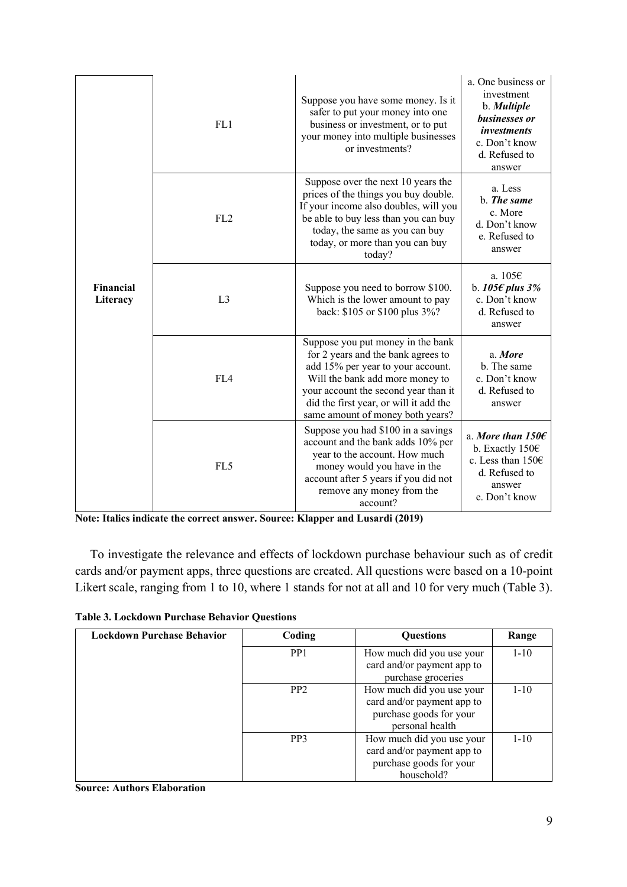|                       | FL1             | Suppose you have some money. Is it<br>safer to put your money into one<br>business or investment, or to put<br>your money into multiple businesses<br>or investments?                                                                                                 | a. One business or<br>investment<br>b. Multiple<br>businesses or<br><i>investments</i><br>c. Don't know<br>d. Refused to<br>answer |
|-----------------------|-----------------|-----------------------------------------------------------------------------------------------------------------------------------------------------------------------------------------------------------------------------------------------------------------------|------------------------------------------------------------------------------------------------------------------------------------|
|                       | FL <sub>2</sub> | Suppose over the next 10 years the<br>prices of the things you buy double.<br>If your income also doubles, will you<br>be able to buy less than you can buy<br>today, the same as you can buy<br>today, or more than you can buy<br>today?                            | a. Less<br>b. The same<br>c. More<br>d. Don't know<br>e. Refused to<br>answer                                                      |
| Financial<br>Literacy | L <sub>3</sub>  | Suppose you need to borrow \$100.<br>Which is the lower amount to pay<br>back: \$105 or \$100 plus 3%?                                                                                                                                                                | a. $1056$<br>b. 105 $\epsilon$ plus 3%<br>c. Don't know<br>d. Refused to<br>answer                                                 |
|                       | FL <sub>4</sub> | Suppose you put money in the bank<br>for 2 years and the bank agrees to<br>add 15% per year to your account.<br>Will the bank add more money to<br>your account the second year than it<br>did the first year, or will it add the<br>same amount of money both years? | a. More<br>b. The same<br>c. Don't know<br>d. Refused to<br>answer                                                                 |
|                       | FL5             | Suppose you had \$100 in a savings<br>account and the bank adds 10% per<br>year to the account. How much<br>money would you have in the<br>account after 5 years if you did not<br>remove any money from the<br>account?                                              | a. More than $1506$<br>b. Exactly 150€<br>c. Less than 150€<br>d. Refused to<br>answer<br>e. Don't know                            |

**Note: Italics indicate the correct answer. Source: Klapper and Lusardi (2019)**

To investigate the relevance and effects of lockdown purchase behaviour such as of credit cards and/or payment apps, three questions are created. All questions were based on a 10-point Likert scale, ranging from 1 to 10, where 1 stands for not at all and 10 for very much (Table 3).

**Table 3. Lockdown Purchase Behavior Questions**

| <b>Lockdown Purchase Behavior</b> | Coding                                                                                                                   | <b>Ouestions</b>                                                              | Range    |
|-----------------------------------|--------------------------------------------------------------------------------------------------------------------------|-------------------------------------------------------------------------------|----------|
|                                   | PP <sub>1</sub>                                                                                                          | How much did you use your<br>card and/or payment app to<br>purchase groceries | $1 - 10$ |
|                                   | How much did you use your<br>PP <sub>2</sub><br>card and/or payment app to<br>purchase goods for your<br>personal health |                                                                               | $1 - 10$ |
|                                   | PP <sub>3</sub><br>How much did you use your<br>card and/or payment app to<br>purchase goods for your<br>household?      |                                                                               | $1 - 10$ |

#### **Source: Authors Elaboration**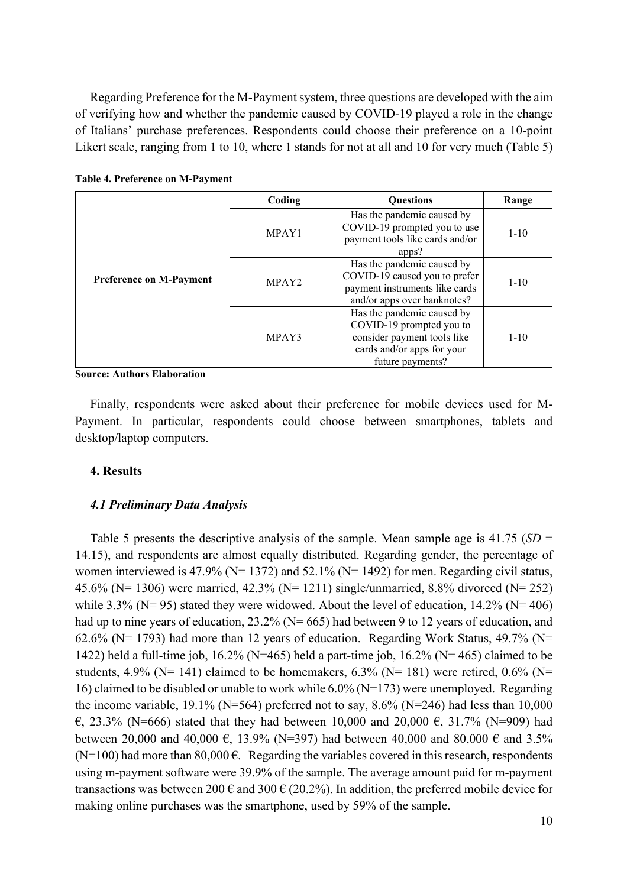Regarding Preference for the M-Payment system, three questions are developed with the aim of verifying how and whether the pandemic caused by COVID-19 played a role in the change of Italians' purchase preferences. Respondents could choose their preference on a 10-point Likert scale, ranging from 1 to 10, where 1 stands for not at all and 10 for very much (Table 5)

|                                | Coding                                                                                                                                            | <b>Ouestions</b>                                                                                                                        | Range    |
|--------------------------------|---------------------------------------------------------------------------------------------------------------------------------------------------|-----------------------------------------------------------------------------------------------------------------------------------------|----------|
| <b>Preference on M-Payment</b> | MPAY1                                                                                                                                             | Has the pandemic caused by<br>COVID-19 prompted you to use<br>payment tools like cards and/or<br>apps?                                  | $1 - 10$ |
|                                | Has the pandemic caused by<br>COVID-19 caused you to prefer<br>MPAY <sub>2</sub><br>payment instruments like cards<br>and/or apps over banknotes? |                                                                                                                                         | $1 - 10$ |
|                                | MPAY3                                                                                                                                             | Has the pandemic caused by<br>COVID-19 prompted you to<br>consider payment tools like<br>cards and/or apps for your<br>future payments? | $1 - 10$ |

**Table 4. Preference on M-Payment**

**Source: Authors Elaboration**

Finally, respondents were asked about their preference for mobile devices used for M-Payment. In particular, respondents could choose between smartphones, tablets and desktop/laptop computers.

## **4. Results**

#### *4.1 Preliminary Data Analysis*

Table 5 presents the descriptive analysis of the sample. Mean sample age is 41.75 (*SD* = 14.15), and respondents are almost equally distributed. Regarding gender, the percentage of women interviewed is 47.9% ( $N= 1372$ ) and 52.1% ( $N= 1492$ ) for men. Regarding civil status, 45.6% (N= 1306) were married, 42.3% (N= 1211) single/unmarried, 8.8% divorced (N= 252) while 3.3% ( $N= 95$ ) stated they were widowed. About the level of education, 14.2% ( $N= 406$ ) had up to nine years of education, 23.2% (N= 665) had between 9 to 12 years of education, and 62.6% ( $N= 1793$ ) had more than 12 years of education. Regarding Work Status, 49.7% ( $N=$ 1422) held a full-time job, 16.2% (N=465) held a part-time job, 16.2% (N= 465) claimed to be students, 4.9% (N= 141) claimed to be homemakers,  $6.3\%$  (N= 181) were retired,  $0.6\%$  (N= 16) claimed to be disabled or unable to work while 6.0% (N=173) were unemployed. Regarding the income variable, 19.1% (N=564) preferred not to say,  $8.6\%$  (N=246) had less than 10,000 €, 23.3% (N=666) stated that they had between 10,000 and 20,000 €, 31.7% (N=909) had between 20,000 and 40,000  $\epsilon$ , 13.9% (N=397) had between 40,000 and 80,000  $\epsilon$  and 3.5%  $(N=100)$  had more than 80,000  $\epsilon$ . Regarding the variables covered in this research, respondents using m-payment software were 39.9% of the sample. The average amount paid for m-payment transactions was between 200  $\epsilon$  and 300  $\epsilon$  (20.2%). In addition, the preferred mobile device for making online purchases was the smartphone, used by 59% of the sample.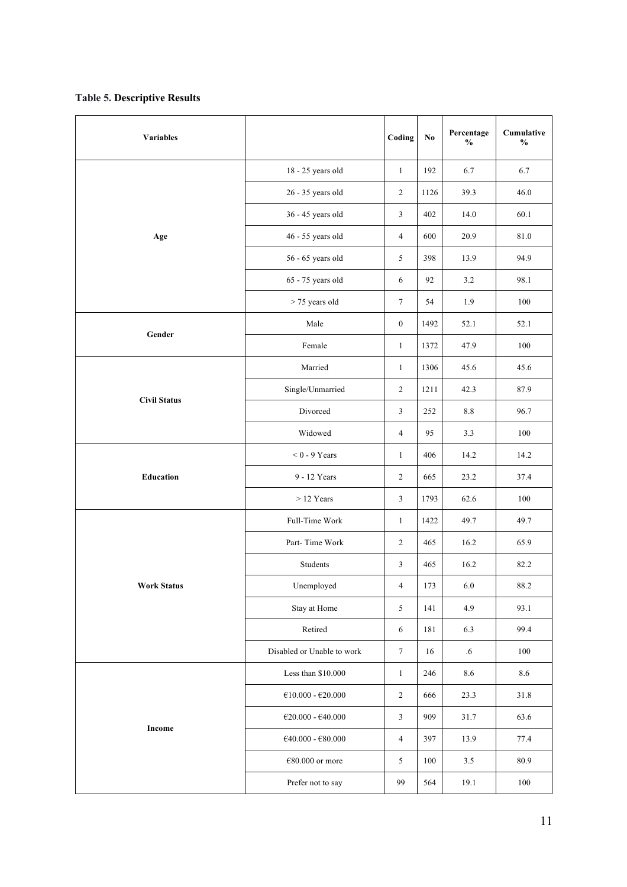### **Table 5. Descriptive Results**

| <b>Variables</b>    |                                           | Coding           | $\mathbf{N}\mathbf{o}$ | Percentage<br>$\mathbf{O}_0$ | Cumulative<br>$\frac{0}{0}$ |
|---------------------|-------------------------------------------|------------------|------------------------|------------------------------|-----------------------------|
|                     | 18 - 25 years old                         | $\mathbf{1}$     | 192                    | 6.7                          | 6.7                         |
|                     | 26 - 35 years old                         | $\mathfrak{2}$   | 1126                   | 39.3                         | 46.0                        |
|                     | 36 - 45 years old                         | $\mathfrak{Z}$   | 402                    | 14.0                         | 60.1                        |
| Age                 | 46 - 55 years old                         | 4                | 600                    | 20.9                         | 81.0                        |
|                     | 56 - 65 years old                         | $\sqrt{5}$       | 398                    | 13.9                         | 94.9                        |
|                     | 65 - 75 years old                         | 6                | 92                     | 3.2                          | 98.1                        |
|                     | > 75 years old                            | $\boldsymbol{7}$ | 54                     | 1.9                          | 100                         |
| Gender              | Male                                      | $\mathbf{0}$     | 1492                   | 52.1                         | 52.1                        |
|                     | Female                                    | $\mathbf{1}$     | 1372                   | 47.9                         | 100                         |
|                     | Married                                   | $\mathbf{1}$     | 1306                   | 45.6                         | 45.6                        |
| <b>Civil Status</b> | Single/Unmarried                          | $\sqrt{2}$       | 1211                   | 42.3                         | 87.9                        |
|                     | Divorced<br>$\mathfrak{Z}$                |                  | 252                    | 8.8                          | 96.7                        |
|                     | Widowed                                   | 4                | 95                     | 3.3                          | 100                         |
|                     | $< 0$ - 9 Years                           | $\mathbf{1}$     | 406                    | 14.2                         | 14.2                        |
| Education           | 9 - 12 Years                              | $\sqrt{2}$       | 665                    | 23.2                         | 37.4                        |
|                     | $>12$ Years                               | $\mathfrak{Z}$   | 1793                   | 62.6                         | 100                         |
|                     | Full-Time Work                            | $\mathbf{1}$     | 1422                   | 49.7                         | 49.7                        |
|                     | Part-Time Work                            | $\overline{c}$   | 465                    | 16.2                         | 65.9                        |
|                     | Students                                  |                  | 465                    | 16.2                         | 82.2                        |
| <b>Work Status</b>  | Unemployed                                | 4                | 173                    | 6.0                          | $88.2\,$                    |
|                     | Stay at Home                              | $\mathfrak{S}$   | 141                    | 4.9                          | 93.1                        |
|                     | Retired                                   | 6                | 181                    | 6.3                          | 99.4                        |
|                     | Disabled or Unable to work                | $\boldsymbol{7}$ | 16                     | .6                           | 100                         |
|                     | Less than \$10.000                        | $\mathbf{1}$     | 246                    | $8.6\,$                      | $8.6\,$                     |
|                     | $\mathcal{C}10.000$ - $\mathcal{C}20.000$ | $\sqrt{2}$       | 666                    | 23.3                         | 31.8                        |
|                     | $\mathcal{C}20.000$ - $\mathcal{C}40.000$ | $\mathfrak{Z}$   | 909                    | 31.7                         | 63.6                        |
| Income              | $\mathcal{C}40.000$ - $\mathcal{C}80.000$ | $\overline{4}$   | 397                    | 13.9                         | 77.4                        |
|                     | €80.000 or more                           | $\sqrt{5}$       | 100                    | $3.5\,$                      | 80.9                        |
|                     | Prefer not to say                         | 99               | 564                    | 19.1                         | 100                         |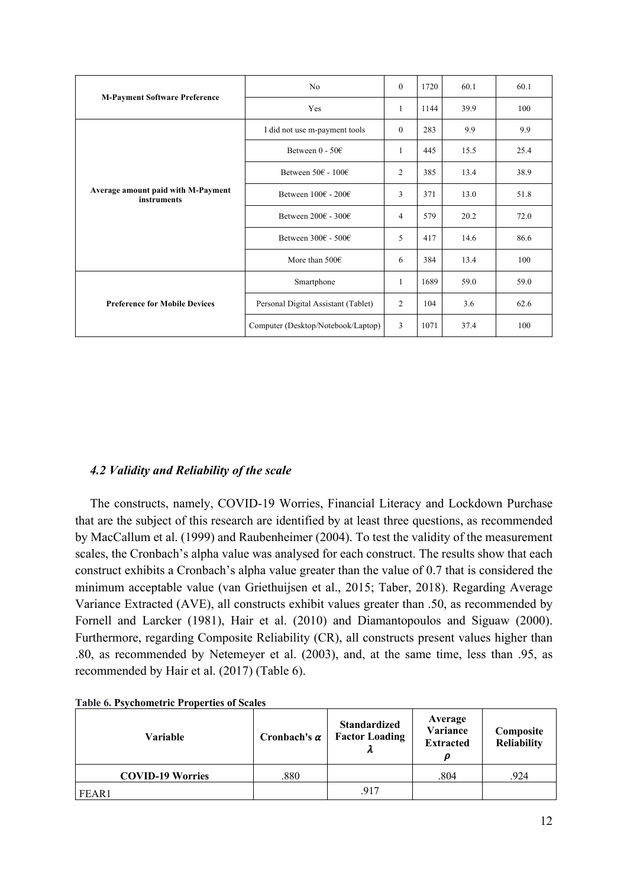|                                                   | N <sub>0</sub>                          | $\Omega$       | 1720 | 60.1 | 60.1 |
|---------------------------------------------------|-----------------------------------------|----------------|------|------|------|
| <b>M-Payment Software Preference</b>              | Yes                                     | 1              | 1144 | 39.9 | 100  |
|                                                   | I did not use m-payment tools           | $\theta$       | 283  | 9.9  | 9.9  |
|                                                   | Between $0 - 50$                        | 1              | 445  | 15.5 | 25.4 |
|                                                   | Between $50 \in -100 \in$               | $\overline{2}$ | 385  | 13.4 | 38.9 |
| Average amount paid with M-Payment<br>instruments | Between $100 \in 200 \in$               | 3              | 371  | 13.0 | 51.8 |
|                                                   | Between $200 \epsilon$ - $300 \epsilon$ | 4              | 579  | 20.2 | 72.0 |
|                                                   | Between $300\epsilon$ - $500\epsilon$   | 5              | 417  | 14.6 | 86.6 |
|                                                   | More than $500 \in$                     | 6              | 384  | 13.4 | 100  |
|                                                   | Smartphone                              | 1              | 1689 | 59.0 | 59.0 |
| <b>Preference for Mobile Devices</b>              | Personal Digital Assistant (Tablet)     | 2              | 104  | 3.6  | 62.6 |
|                                                   | Computer (Desktop/Notebook/Laptop)      | 3              | 1071 | 37.4 | 100  |

# *4.2 Validity and Reliability of the scale*

The constructs, namely, COVID-19 Worries, Financial Literacy and Lockdown Purchase that are the subject of this research are identified by at least three questions, as recommended by MacCallum et al. (1999) and Raubenheimer (2004). To test the validity of the measurement scales, the Cronbach's alpha value was analysed for each construct. The results show that each construct exhibits a Cronbach's alpha value greater than the value of 0.7 that is considered the minimum acceptable value (van Griethuijsen et al., 2015; Taber, 2018). Regarding Average Variance Extracted (AVE), all constructs exhibit values greater than .50, as recommended by Fornell and Larcker (1981), Hair et al. (2010) and Diamantopoulos and Siguaw (2000). Furthermore, regarding Composite Reliability (CR), all constructs present values higher than .80, as recommended by Netemeyer et al. (2003), and, at the same time, less than .95, as recommended by Hair et al. (2017) (Table 6).

| Variable                | Cronbach's $\alpha$ | <b>Standardized</b><br><b>Factor Loading</b> | Average<br>Variance<br><b>Extracted</b><br>D | Composite<br><b>Reliability</b> |
|-------------------------|---------------------|----------------------------------------------|----------------------------------------------|---------------------------------|
| <b>COVID-19 Worries</b> | .880                |                                              | .804                                         | .924                            |
| FEAR1                   |                     | .917                                         |                                              |                                 |

#### **Table 6. Psychometric Properties of Scales**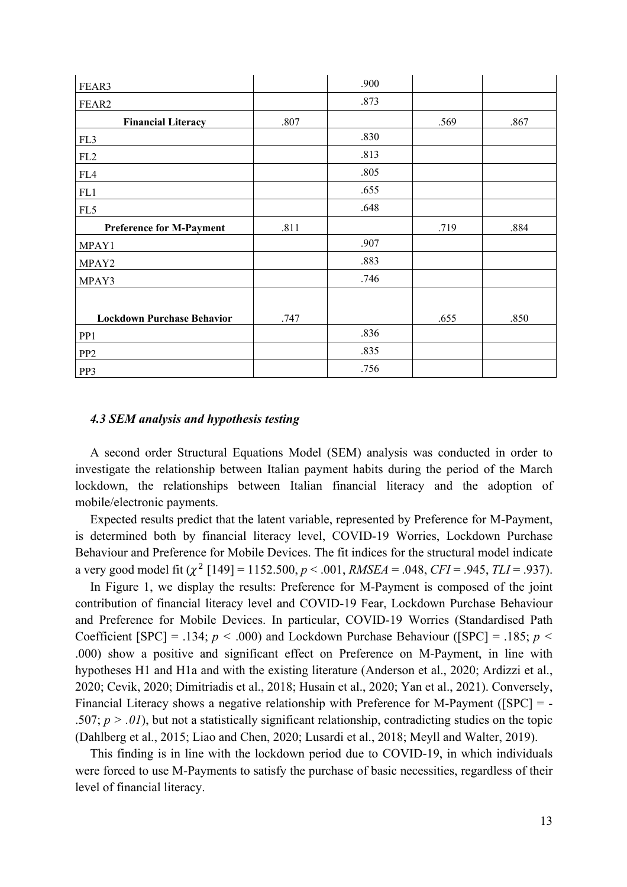| FEAR3                             |      | .900 |      |      |
|-----------------------------------|------|------|------|------|
| FEAR2                             |      | .873 |      |      |
| <b>Financial Literacy</b>         | .807 |      | .569 | .867 |
| FL3                               |      | .830 |      |      |
| FL2                               |      | .813 |      |      |
| FL4                               |      | .805 |      |      |
| FL1                               |      | .655 |      |      |
| FL5                               |      | .648 |      |      |
| <b>Preference for M-Payment</b>   | .811 |      | .719 | .884 |
| MPAY1                             |      | .907 |      |      |
| MPAY2                             |      | .883 |      |      |
| MPAY3                             |      | .746 |      |      |
|                                   |      |      |      |      |
| <b>Lockdown Purchase Behavior</b> | .747 |      | .655 | .850 |
| PP1                               |      | .836 |      |      |
| PP <sub>2</sub>                   |      | .835 |      |      |
| PP3                               |      | .756 |      |      |

### *4.3 SEM analysis and hypothesis testing*

A second order Structural Equations Model (SEM) analysis was conducted in order to investigate the relationship between Italian payment habits during the period of the March lockdown, the relationships between Italian financial literacy and the adoption of mobile/electronic payments.

Expected results predict that the latent variable, represented by Preference for M-Payment, is determined both by financial literacy level, COVID-19 Worries, Lockdown Purchase Behaviour and Preference for Mobile Devices. The fit indices for the structural model indicate a very good model fit  $(\chi^2$  [149] = 1152.500,  $p < .001$ , *RMSEA* = .048, *CFI* = .945, *TLI* = .937).

In Figure 1, we display the results: Preference for M-Payment is composed of the joint contribution of financial literacy level and COVID-19 Fear, Lockdown Purchase Behaviour and Preference for Mobile Devices. In particular, COVID-19 Worries (Standardised Path Coefficient  $[SPC] = .134$ ;  $p < .000$ ) and Lockdown Purchase Behaviour ( $[SPC] = .185$ ;  $p <$ .000) show a positive and significant effect on Preference on M-Payment, in line with hypotheses H1 and H1a and with the existing literature (Anderson et al., 2020; Ardizzi et al., 2020; Cevik, 2020; Dimitriadis et al., 2018; Husain et al., 2020; Yan et al., 2021). Conversely, Financial Literacy shows a negative relationship with Preference for M-Payment ([SPC] = - .507;  $p > .01$ ), but not a statistically significant relationship, contradicting studies on the topic (Dahlberg et al., 2015; Liao and Chen, 2020; Lusardi et al., 2018; Meyll and Walter, 2019).

This finding is in line with the lockdown period due to COVID-19, in which individuals were forced to use M-Payments to satisfy the purchase of basic necessities, regardless of their level of financial literacy.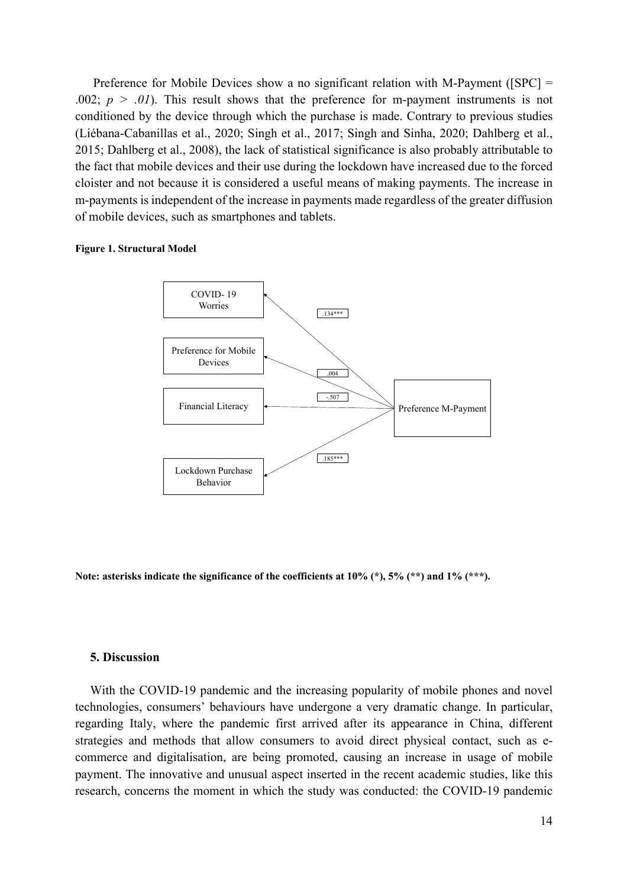Preference for Mobile Devices show a no significant relation with M-Payment ([SPC] = .002;  $p > .01$ ). This result shows that the preference for m-payment instruments is not conditioned by the device through which the purchase is made. Contrary to previous studies (Liébana-Cabanillas et al., 2020; Singh et al., 2017; Singh and Sinha, 2020; Dahlberg et al., 2015; Dahlberg et al., 2008), the lack of statistical significance is also probably attributable to the fact that mobile devices and their use during the lockdown have increased due to the forced cloister and not because it is considered a useful means of making payments. The increase in m-payments is independent of the increase in payments made regardless of the greater diffusion of mobile devices, such as smartphones and tablets.

#### **Figure 1. Structural Model**



**Note: asterisks indicate the significance of the coefficients at 10% (\*), 5% (\*\*) and 1% (\*\*\*).**

#### **5. Discussion**

With the COVID-19 pandemic and the increasing popularity of mobile phones and novel technologies, consumers' behaviours have undergone a very dramatic change. In particular, regarding Italy, where the pandemic first arrived after its appearance in China, different strategies and methods that allow consumers to avoid direct physical contact, such as ecommerce and digitalisation, are being promoted, causing an increase in usage of mobile payment. The innovative and unusual aspect inserted in the recent academic studies, like this research, concerns the moment in which the study was conducted: the COVID-19 pandemic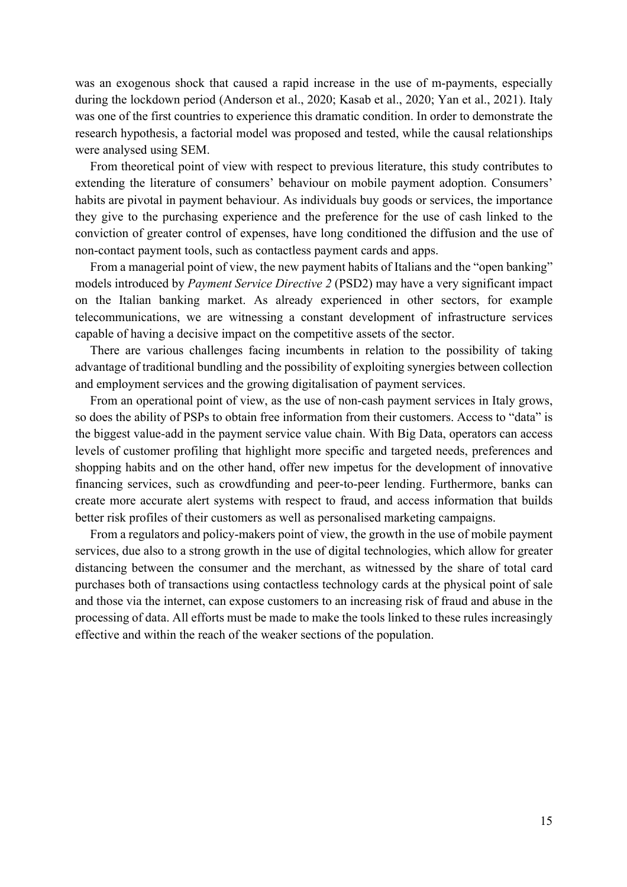was an exogenous shock that caused a rapid increase in the use of m-payments, especially during the lockdown period (Anderson et al., 2020; Kasab et al., 2020; Yan et al., 2021). Italy was one of the first countries to experience this dramatic condition. In order to demonstrate the research hypothesis, a factorial model was proposed and tested, while the causal relationships were analysed using SEM.

From theoretical point of view with respect to previous literature, this study contributes to extending the literature of consumers' behaviour on mobile payment adoption. Consumers' habits are pivotal in payment behaviour. As individuals buy goods or services, the importance they give to the purchasing experience and the preference for the use of cash linked to the conviction of greater control of expenses, have long conditioned the diffusion and the use of non-contact payment tools, such as contactless payment cards and apps.

From a managerial point of view, the new payment habits of Italians and the "open banking" models introduced by *Payment Service Directive 2* (PSD2) may have a very significant impact on the Italian banking market. As already experienced in other sectors, for example telecommunications, we are witnessing a constant development of infrastructure services capable of having a decisive impact on the competitive assets of the sector.

There are various challenges facing incumbents in relation to the possibility of taking advantage of traditional bundling and the possibility of exploiting synergies between collection and employment services and the growing digitalisation of payment services.

From an operational point of view, as the use of non-cash payment services in Italy grows, so does the ability of PSPs to obtain free information from their customers. Access to "data" is the biggest value-add in the payment service value chain. With Big Data, operators can access levels of customer profiling that highlight more specific and targeted needs, preferences and shopping habits and on the other hand, offer new impetus for the development of innovative financing services, such as crowdfunding and peer-to-peer lending. Furthermore, banks can create more accurate alert systems with respect to fraud, and access information that builds better risk profiles of their customers as well as personalised marketing campaigns.

From a regulators and policy-makers point of view, the growth in the use of mobile payment services, due also to a strong growth in the use of digital technologies, which allow for greater distancing between the consumer and the merchant, as witnessed by the share of total card purchases both of transactions using contactless technology cards at the physical point of sale and those via the internet, can expose customers to an increasing risk of fraud and abuse in the processing of data. All efforts must be made to make the tools linked to these rules increasingly effective and within the reach of the weaker sections of the population.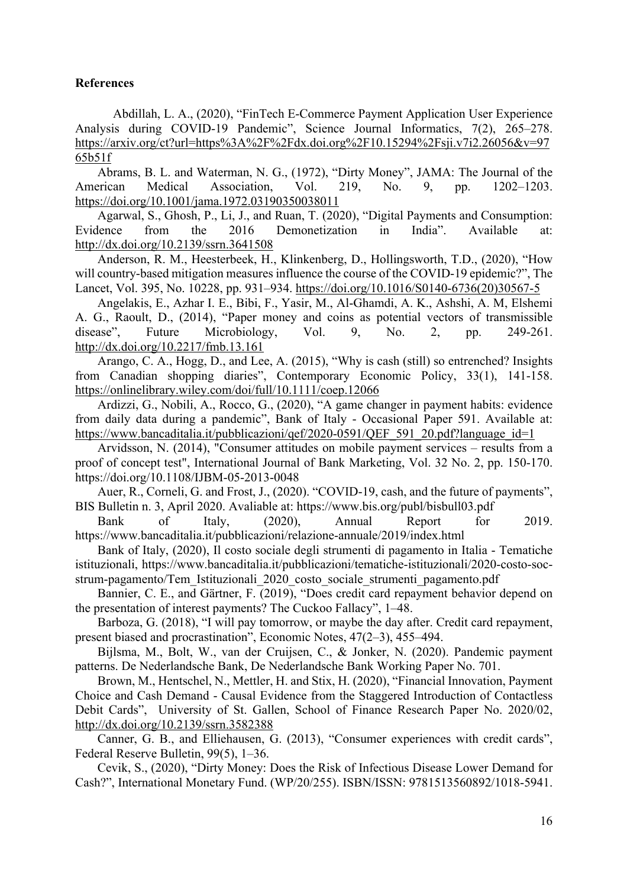### **References**

Abdillah, L. A., (2020), "FinTech E-Commerce Payment Application User Experience Analysis during COVID-19 Pandemic", Science Journal Informatics, 7(2), 265–278. https://arxiv.org/ct?url=https%3A%2F%2Fdx.doi.org%2F10.15294%2Fsji.v7i2.26056&v=97 65b51f

Abrams, B. L. and Waterman, N. G., (1972), "Dirty Money", JAMA: The Journal of the American Medical Association, Vol. 219, No. 9, pp. 1202–1203. https://doi.org/10.1001/jama.1972.03190350038011

Agarwal, S., Ghosh, P., Li, J., and Ruan, T. (2020), "Digital Payments and Consumption: Evidence from the 2016 Demonetization in India". Available at: http://dx.doi.org/10.2139/ssrn.3641508

Anderson, R. M., Heesterbeek, H., Klinkenberg, D., Hollingsworth, T.D., (2020), "How will country-based mitigation measures influence the course of the COVID-19 epidemic?", The Lancet, Vol. 395, No. 10228, pp. 931–934. https://doi.org/10.1016/S0140-6736(20)30567-5

Angelakis, E., Azhar I. E., Bibi, F., Yasir, M., Al-Ghamdi, A. K., Ashshi, A. M, Elshemi A. G., Raoult, D., (2014), "Paper money and coins as potential vectors of transmissible disease", Future Microbiology, Vol. 9, No. 2, pp. 249-261. http://dx.doi.org/10.2217/fmb.13.161

Arango, C. A., Hogg, D., and Lee, A. (2015), "Why is cash (still) so entrenched? Insights from Canadian shopping diaries", Contemporary Economic Policy, 33(1), 141-158. https://onlinelibrary.wiley.com/doi/full/10.1111/coep.12066

Ardizzi, G., Nobili, A., Rocco, G., (2020), "A game changer in payment habits: evidence from daily data during a pandemic", Bank of Italy - Occasional Paper 591. Available at: https://www.bancaditalia.it/pubblicazioni/qef/2020-0591/QEF\_591\_20.pdf?language\_id=1

Arvidsson, N. (2014), "Consumer attitudes on mobile payment services – results from a proof of concept test", International Journal of Bank Marketing, Vol. 32 No. 2, pp. 150-170. https://doi.org/10.1108/IJBM-05-2013-0048

Auer, R., Corneli, G. and Frost, J., (2020). "COVID-19, cash, and the future of payments", BIS Bulletin n. 3, April 2020. Avaliable at: https://www.bis.org/publ/bisbull03.pdf

Bank of Italy, (2020), Annual Report for 2019. https://www.bancaditalia.it/pubblicazioni/relazione-annuale/2019/index.html

Bank of Italy, (2020), Il costo sociale degli strumenti di pagamento in Italia - Tematiche istituzionali, https://www.bancaditalia.it/pubblicazioni/tematiche-istituzionali/2020-costo-socstrum-pagamento/Tem\_Istituzionali\_2020\_costo\_sociale\_strumenti\_pagamento.pdf

Bannier, C. E., and Gärtner, F. (2019), "Does credit card repayment behavior depend on the presentation of interest payments? The Cuckoo Fallacy", 1–48.

Barboza, G. (2018), "I will pay tomorrow, or maybe the day after. Credit card repayment, present biased and procrastination", Economic Notes, 47(2–3), 455–494.

Bijlsma, M., Bolt, W., van der Cruijsen, C., & Jonker, N. (2020). Pandemic payment patterns. De Nederlandsche Bank, De Nederlandsche Bank Working Paper No. 701.

Brown, M., Hentschel, N., Mettler, H. and Stix, H. (2020), "Financial Innovation, Payment Choice and Cash Demand - Causal Evidence from the Staggered Introduction of Contactless Debit Cards", University of St. Gallen, School of Finance Research Paper No. 2020/02, http://dx.doi.org/10.2139/ssrn.3582388

Canner, G. B., and Elliehausen, G. (2013), "Consumer experiences with credit cards", Federal Reserve Bulletin, 99(5), 1–36.

Cevik, S., (2020), "Dirty Money: Does the Risk of Infectious Disease Lower Demand for Cash?", International Monetary Fund. (WP/20/255). ISBN/ISSN: 9781513560892/1018-5941.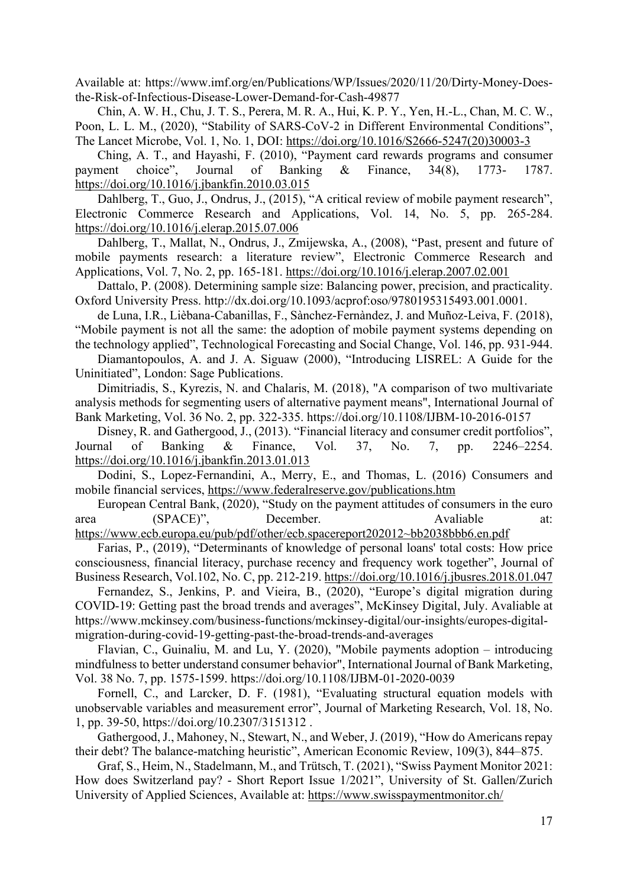Available at: https://www.imf.org/en/Publications/WP/Issues/2020/11/20/Dirty-Money-Doesthe-Risk-of-Infectious-Disease-Lower-Demand-for-Cash-49877

Chin, A. W. H., Chu, J. T. S., Perera, M. R. A., Hui, K. P. Y., Yen, H.-L., Chan, M. C. W., Poon, L. L. M., (2020), "Stability of SARS-CoV-2 in Different Environmental Conditions", The Lancet Microbe, Vol. 1, No. 1, DOI: https://doi.org/10.1016/S2666-5247(20)30003-3

Ching, A. T., and Hayashi, F. (2010), "Payment card rewards programs and consumer payment choice", Journal of Banking & Finance, 34(8), 1773- 1787. https://doi.org/10.1016/j.jbankfin.2010.03.015

Dahlberg, T., Guo, J., Ondrus, J., (2015), "A critical review of mobile payment research", Electronic Commerce Research and Applications, Vol. 14, No. 5, pp. 265-284. https://doi.org/10.1016/j.elerap.2015.07.006

Dahlberg, T., Mallat, N., Ondrus, J., Zmijewska, A., (2008), "Past, present and future of mobile payments research: a literature review", Electronic Commerce Research and Applications, Vol. 7, No. 2, pp. 165-181. https://doi.org/10.1016/j.elerap.2007.02.001

Dattalo, P. (2008). Determining sample size: Balancing power, precision, and practicality. Oxford University Press. http://dx.doi.org/10.1093/acprof:oso/9780195315493.001.0001.

de Luna, I.R., Lièbana-Cabanillas, F., Sànchez-Fernàndez, J. and Muñoz-Leiva, F. (2018), "Mobile payment is not all the same: the adoption of mobile payment systems depending on the technology applied", Technological Forecasting and Social Change, Vol. 146, pp. 931-944.

Diamantopoulos, A. and J. A. Siguaw (2000), "Introducing LISREL: A Guide for the Uninitiated", London: Sage Publications.

Dimitriadis, S., Kyrezis, N. and Chalaris, M. (2018), "A comparison of two multivariate analysis methods for segmenting users of alternative payment means", International Journal of Bank Marketing, Vol. 36 No. 2, pp. 322-335. https://doi.org/10.1108/IJBM-10-2016-0157

Disney, R. and Gathergood, J., (2013). "Financial literacy and consumer credit portfolios", Journal of Banking & Finance, Vol. 37, No. 7, pp. 2246–2254. https://doi.org/10.1016/j.jbankfin.2013.01.013

Dodini, S., Lopez-Fernandini, A., Merry, E., and Thomas, L. (2016) Consumers and mobile financial services, https://www.federalreserve.gov/publications.htm

European Central Bank, (2020), "Study on the payment attitudes of consumers in the euro area (SPACE)", December. Avaliable at:

https://www.ecb.europa.eu/pub/pdf/other/ecb.spacereport202012~bb2038bbb6.en.pdf Farias, P., (2019), "Determinants of knowledge of personal loans' total costs: How price consciousness, financial literacy, purchase recency and frequency work together", Journal of Business Research, Vol.102, No. C, pp. 212-219. https://doi.org/10.1016/j.jbusres.2018.01.047

Fernandez, S., Jenkins, P. and Vieira, B., (2020), "Europe's digital migration during COVID-19: Getting past the broad trends and averages", McKinsey Digital, July. Avaliable at https://www.mckinsey.com/business-functions/mckinsey-digital/our-insights/europes-digitalmigration-during-covid-19-getting-past-the-broad-trends-and-averages

Flavian, C., Guinaliu, M. and Lu, Y. (2020), "Mobile payments adoption – introducing mindfulness to better understand consumer behavior", International Journal of Bank Marketing, Vol. 38 No. 7, pp. 1575-1599. https://doi.org/10.1108/IJBM-01-2020-0039

Fornell, C., and Larcker, D. F. (1981), "Evaluating structural equation models with unobservable variables and measurement error", Journal of Marketing Research, Vol. 18, No. 1, pp. 39-50, https://doi.org/10.2307/3151312 .

Gathergood, J., Mahoney, N., Stewart, N., and Weber, J. (2019), "How do Americans repay their debt? The balance-matching heuristic", American Economic Review, 109(3), 844–875.

Graf, S., Heim, N., Stadelmann, M., and Trütsch, T. (2021), "Swiss Payment Monitor 2021: How does Switzerland pay? - Short Report Issue 1/2021", University of St. Gallen/Zurich University of Applied Sciences, Available at: https://www.swisspaymentmonitor.ch/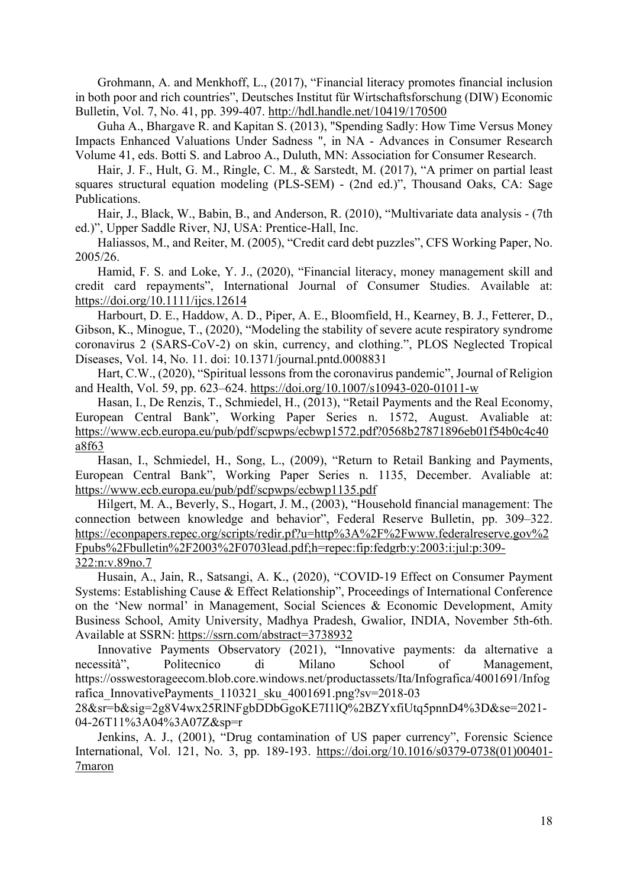Grohmann, A. and Menkhoff, L., (2017), "Financial literacy promotes financial inclusion in both poor and rich countries", Deutsches Institut für Wirtschaftsforschung (DIW) Economic Bulletin, Vol. 7, No. 41, pp. 399-407. http://hdl.handle.net/10419/170500

Guha A., Bhargave R. and Kapitan S. (2013), "Spending Sadly: How Time Versus Money Impacts Enhanced Valuations Under Sadness ", in NA - Advances in Consumer Research Volume 41, eds. Botti S. and Labroo A., Duluth, MN: Association for Consumer Research.

Hair, J. F., Hult, G. M., Ringle, C. M., & Sarstedt, M. (2017), "A primer on partial least squares structural equation modeling (PLS-SEM) - (2nd ed.)", Thousand Oaks, CA: Sage Publications.

Hair, J., Black, W., Babin, B., and Anderson, R. (2010), "Multivariate data analysis - (7th ed.)", Upper Saddle River, NJ, USA: Prentice-Hall, Inc.

Haliassos, M., and Reiter, M. (2005), "Credit card debt puzzles", CFS Working Paper, No. 2005/26.

Hamid, F. S. and Loke, Y. J., (2020), "Financial literacy, money management skill and credit card repayments", International Journal of Consumer Studies. Available at: https://doi.org/10.1111/ijcs.12614

Harbourt, D. E., Haddow, A. D., Piper, A. E., Bloomfield, H., Kearney, B. J., Fetterer, D., Gibson, K., Minogue, T., (2020), "Modeling the stability of severe acute respiratory syndrome coronavirus 2 (SARS-CoV-2) on skin, currency, and clothing.", PLOS Neglected Tropical Diseases, Vol. 14, No. 11. doi: 10.1371/journal.pntd.0008831

Hart, C.W., (2020), "Spiritual lessons from the coronavirus pandemic", Journal of Religion and Health, Vol. 59, pp. 623–624. https://doi.org/10.1007/s10943-020-01011-w

Hasan, I., De Renzis, T., Schmiedel, H., (2013), "Retail Payments and the Real Economy, European Central Bank", Working Paper Series n. 1572, August. Avaliable at: https://www.ecb.europa.eu/pub/pdf/scpwps/ecbwp1572.pdf?0568b27871896eb01f54b0c4c40 a8f63

Hasan, I., Schmiedel, H., Song, L., (2009), "Return to Retail Banking and Payments, European Central Bank", Working Paper Series n. 1135, December. Avaliable at: https://www.ecb.europa.eu/pub/pdf/scpwps/ecbwp1135.pdf

Hilgert, M. A., Beverly, S., Hogart, J. M., (2003), "Household financial management: The connection between knowledge and behavior", Federal Reserve Bulletin, pp. 309–322. https://econpapers.repec.org/scripts/redir.pf?u=http%3A%2F%2Fwww.federalreserve.gov%2 Fpubs%2Fbulletin%2F2003%2F0703lead.pdf;h=repec:fip:fedgrb:y:2003:i:jul:p:309- 322:n:v.89no.7

Husain, A., Jain, R., Satsangi, A. K., (2020), "COVID-19 Effect on Consumer Payment Systems: Establishing Cause & Effect Relationship", Proceedings of International Conference on the 'New normal' in Management, Social Sciences & Economic Development, Amity Business School, Amity University, Madhya Pradesh, Gwalior, INDIA, November 5th-6th. Available at SSRN: https://ssrn.com/abstract=3738932

Innovative Payments Observatory (2021), "Innovative payments: da alternative a necessità", Politecnico di Milano School of Management, https://osswestorageecom.blob.core.windows.net/productassets/Ita/Infografica/4001691/Infog rafica InnovativePayments 110321 sku 4001691.png?sv=2018-03

28&sr=b&sig=2g8V4wx25RlNFgbDDbGgoKE7I1lQ%2BZYxfiUtq5pnnD4%3D&se=2021- 04-26T11%3A04%3A07Z&sp=r

Jenkins, A. J., (2001), "Drug contamination of US paper currency", Forensic Science International, Vol. 121, No. 3, pp. 189-193. https://doi.org/10.1016/s0379-0738(01)00401- 7maron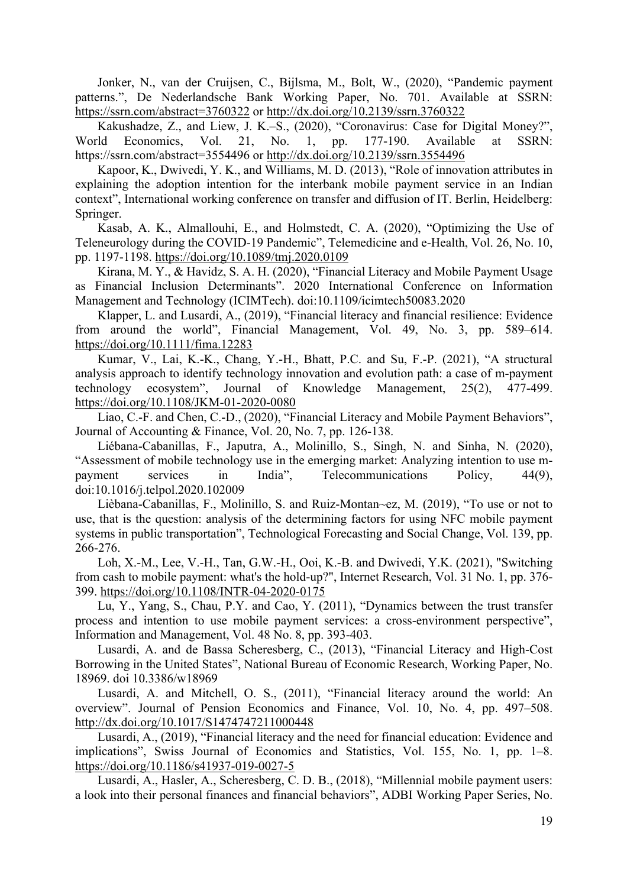Jonker, N., van der Cruijsen, C., Bijlsma, M., Bolt, W., (2020), "Pandemic payment patterns.", De Nederlandsche Bank Working Paper, No. 701. Available at SSRN: https://ssrn.com/abstract=3760322 or http://dx.doi.org/10.2139/ssrn.3760322

Kakushadze, Z., and Liew, J. K.–S., (2020), "Coronavirus: Case for Digital Money?", World Economics, Vol. 21, No. 1, pp. 177-190. Available at SSRN: https://ssrn.com/abstract=3554496 or http://dx.doi.org/10.2139/ssrn.3554496

Kapoor, K., Dwivedi, Y. K., and Williams, M. D. (2013), "Role of innovation attributes in explaining the adoption intention for the interbank mobile payment service in an Indian context", International working conference on transfer and diffusion of IT. Berlin, Heidelberg: Springer.

Kasab, A. K., Almallouhi, E., and Holmstedt, C. A. (2020), "Optimizing the Use of Teleneurology during the COVID-19 Pandemic", Telemedicine and e-Health, Vol. 26, No. 10, pp. 1197-1198. https://doi.org/10.1089/tmj.2020.0109

Kirana, M. Y., & Havidz, S. A. H. (2020), "Financial Literacy and Mobile Payment Usage as Financial Inclusion Determinants". 2020 International Conference on Information Management and Technology (ICIMTech). doi:10.1109/icimtech50083.2020

Klapper, L. and Lusardi, A., (2019), "Financial literacy and financial resilience: Evidence from around the world", Financial Management, Vol. 49, No. 3, pp. 589–614. https://doi.org/10.1111/fima.12283

Kumar, V., Lai, K.-K., Chang, Y.-H., Bhatt, P.C. and Su, F.-P. (2021), "A structural analysis approach to identify technology innovation and evolution path: a case of m-payment technology ecosystem", Journal of Knowledge Management, 25(2), 477-499. https://doi.org/10.1108/JKM-01-2020-0080

Liao, C.-F. and Chen, C.-D., (2020), "Financial Literacy and Mobile Payment Behaviors", Journal of Accounting & Finance, Vol. 20, No. 7, pp. 126-138.

Liébana-Cabanillas, F., Japutra, A., Molinillo, S., Singh, N. and Sinha, N. (2020), "Assessment of mobile technology use in the emerging market: Analyzing intention to use mpayment services in India", Telecommunications Policy, 44(9), doi:10.1016/j.telpol.2020.102009

Lièbana-Cabanillas, F., Molinillo, S. and Ruiz-Montan~ez, M. (2019), "To use or not to use, that is the question: analysis of the determining factors for using NFC mobile payment systems in public transportation", Technological Forecasting and Social Change, Vol. 139, pp. 266-276.

Loh, X.-M., Lee, V.-H., Tan, G.W.-H., Ooi, K.-B. and Dwivedi, Y.K. (2021), "Switching from cash to mobile payment: what's the hold-up?", Internet Research, Vol. 31 No. 1, pp. 376- 399. https://doi.org/10.1108/INTR-04-2020-0175

Lu, Y., Yang, S., Chau, P.Y. and Cao, Y. (2011), "Dynamics between the trust transfer process and intention to use mobile payment services: a cross-environment perspective", Information and Management, Vol. 48 No. 8, pp. 393-403.

Lusardi, A. and de Bassa Scheresberg, C., (2013), "Financial Literacy and High-Cost Borrowing in the United States", National Bureau of Economic Research, Working Paper, No. 18969. doi 10.3386/w18969

Lusardi, A. and Mitchell, O. S., (2011), "Financial literacy around the world: An overview". Journal of Pension Economics and Finance, Vol. 10, No. 4, pp. 497–508. http://dx.doi.org/10.1017/S1474747211000448

Lusardi, A., (2019), "Financial literacy and the need for financial education: Evidence and implications", Swiss Journal of Economics and Statistics, Vol. 155, No. 1, pp. 1–8. https://doi.org/10.1186/s41937-019-0027-5

Lusardi, A., Hasler, A., Scheresberg, C. D. B., (2018), "Millennial mobile payment users: a look into their personal finances and financial behaviors", ADBI Working Paper Series, No.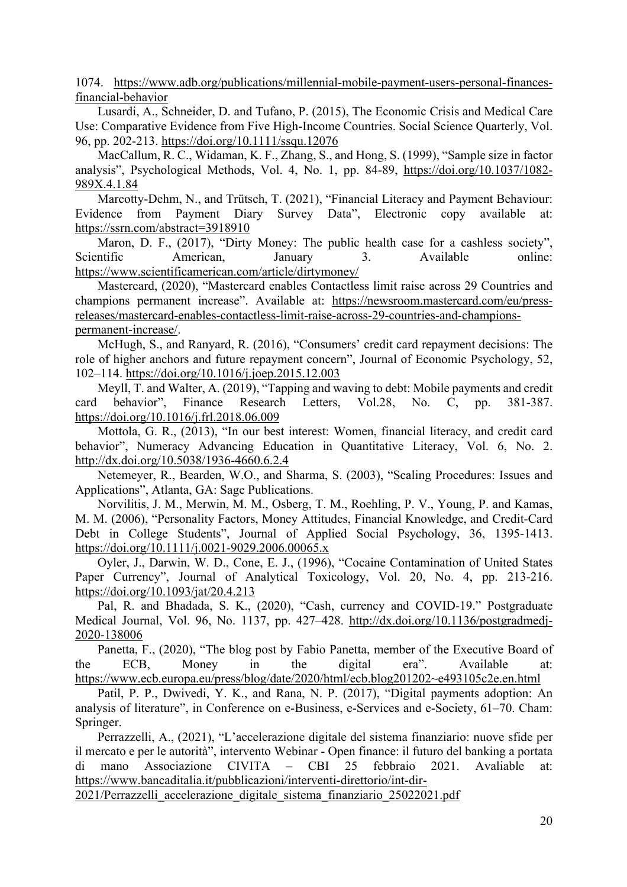1074. https://www.adb.org/publications/millennial-mobile-payment-users-personal-financesfinancial-behavior

Lusardi, A., Schneider, D. and Tufano, P. (2015), The Economic Crisis and Medical Care Use: Comparative Evidence from Five High‐Income Countries. Social Science Quarterly, Vol. 96, pp. 202-213. https://doi.org/10.1111/ssqu.12076

MacCallum, R. C., Widaman, K. F., Zhang, S., and Hong, S. (1999), "Sample size in factor analysis", Psychological Methods, Vol. 4, No. 1, pp. 84-89, https://doi.org/10.1037/1082- 989X.4.1.84

Marcotty-Dehm, N., and Trütsch, T. (2021), "Financial Literacy and Payment Behaviour: Evidence from Payment Diary Survey Data", Electronic copy available at: https://ssrn.com/abstract=3918910

Maron, D. F., (2017), "Dirty Money: The public health case for a cashless society", Scientific American, January 3. Available online: https://www.scientificamerican.com/article/dirtymoney/

Mastercard, (2020), "Mastercard enables Contactless limit raise across 29 Countries and champions permanent increase". Available at: https://newsroom.mastercard.com/eu/pressreleases/mastercard-enables-contactless-limit-raise-across-29-countries-and-championspermanent-increase/.

McHugh, S., and Ranyard, R. (2016), "Consumers' credit card repayment decisions: The role of higher anchors and future repayment concern", Journal of Economic Psychology, 52, 102–114. https://doi.org/10.1016/j.joep.2015.12.003

Meyll, T. and Walter, A. (2019), "Tapping and waving to debt: Mobile payments and credit card behavior", Finance Research Letters, Vol.28, No. C, pp. 381-387. https://doi.org/10.1016/j.frl.2018.06.009

Mottola, G. R., (2013), "In our best interest: Women, financial literacy, and credit card behavior", Numeracy Advancing Education in Quantitative Literacy, Vol. 6, No. 2. http://dx.doi.org/10.5038/1936-4660.6.2.4

Netemeyer, R., Bearden, W.O., and Sharma, S. (2003), "Scaling Procedures: Issues and Applications", Atlanta, GA: Sage Publications.

Norvilitis, J. M., Merwin, M. M., Osberg, T. M., Roehling, P. V., Young, P. and Kamas, M. M. (2006), "Personality Factors, Money Attitudes, Financial Knowledge, and Credit-Card Debt in College Students", Journal of Applied Social Psychology, 36, 1395-1413. https://doi.org/10.1111/j.0021-9029.2006.00065.x

Oyler, J., Darwin, W. D., Cone, E. J., (1996), "Cocaine Contamination of United States Paper Currency", Journal of Analytical Toxicology, Vol. 20, No. 4, pp. 213-216. https://doi.org/10.1093/jat/20.4.213

Pal, R. and Bhadada, S. K., (2020), "Cash, currency and COVID-19." Postgraduate Medical Journal, Vol. 96, No. 1137, pp. 427–428. http://dx.doi.org/10.1136/postgradmedj-2020-138006

Panetta, F., (2020), "The blog post by Fabio Panetta, member of the Executive Board of the ECB, Money in the digital era". Available at: https://www.ecb.europa.eu/press/blog/date/2020/html/ecb.blog201202~e493105c2e.en.html

Patil, P. P., Dwivedi, Y. K., and Rana, N. P. (2017), "Digital payments adoption: An analysis of literature", in Conference on e-Business, e-Services and e-Society, 61–70. Cham: Springer.

Perrazzelli, A., (2021), "L'accelerazione digitale del sistema finanziario: nuove sfide per il mercato e per le autorità", intervento Webinar - Open finance: il futuro del banking a portata di mano Associazione CIVITA – CBI 25 febbraio 2021. Avaliable at: https://www.bancaditalia.it/pubblicazioni/interventi-direttorio/int-dir-

2021/Perrazzelli\_accelerazione\_digitale\_sistema\_finanziario\_25022021.pdf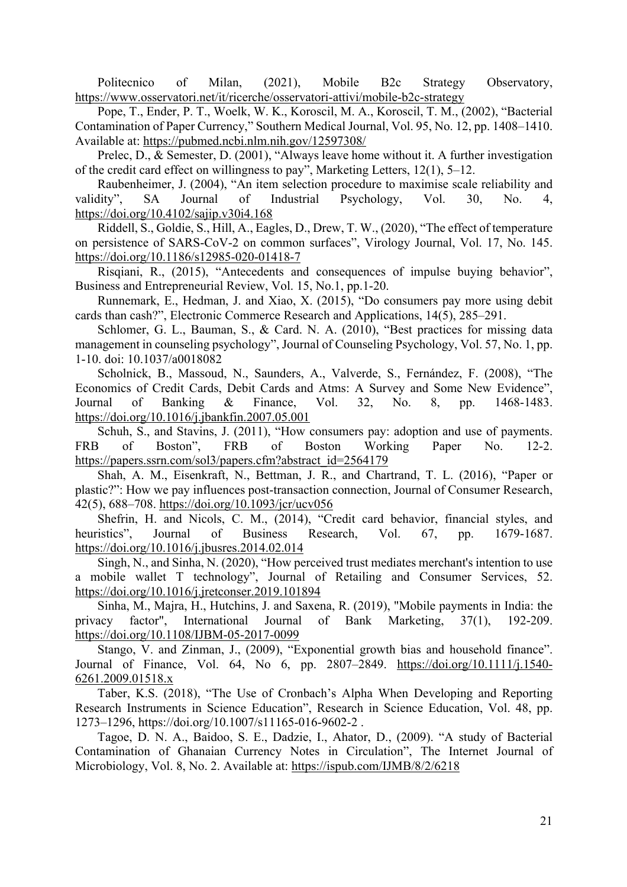Politecnico of Milan, (2021), Mobile B2c Strategy Observatory, https://www.osservatori.net/it/ricerche/osservatori-attivi/mobile-b2c-strategy

Pope, T., Ender, P. T., Woelk, W. K., Koroscil, M. A., Koroscil, T. M., (2002), "Bacterial Contamination of Paper Currency," Southern Medical Journal, Vol. 95, No. 12, pp. 1408–1410. Available at: https://pubmed.ncbi.nlm.nih.gov/12597308/

Prelec, D., & Semester, D. (2001), "Always leave home without it. A further investigation of the credit card effect on willingness to pay", Marketing Letters, 12(1), 5–12.

Raubenheimer, J. (2004), "An item selection procedure to maximise scale reliability and validity", SA Journal of Industrial Psychology, Vol. 30, No. 4, https://doi.org/10.4102/sajip.v30i4.168

Riddell, S., Goldie, S., Hill, A., Eagles, D., Drew, T. W., (2020), "The effect of temperature on persistence of SARS-CoV-2 on common surfaces", Virology Journal, Vol. 17, No. 145. https://doi.org/10.1186/s12985-020-01418-7

Risqiani, R., (2015), "Antecedents and consequences of impulse buying behavior", Business and Entrepreneurial Review, Vol. 15, No.1, pp.1-20.

Runnemark, E., Hedman, J. and Xiao, X. (2015), "Do consumers pay more using debit cards than cash?", Electronic Commerce Research and Applications, 14(5), 285–291.

Schlomer, G. L., Bauman, S., & Card. N. A. (2010), "Best practices for missing data management in counseling psychology", Journal of Counseling Psychology, Vol. 57, No. 1, pp. 1-10. doi: 10.1037/a0018082

Scholnick, B., Massoud, N., Saunders, A., Valverde, S., Fernández, F. (2008), "The Economics of Credit Cards, Debit Cards and Atms: A Survey and Some New Evidence", Journal of Banking & Finance, Vol. 32, No. 8, pp. 1468-1483. https://doi.org/10.1016/j.jbankfin.2007.05.001

Schuh, S., and Stavins, J. (2011), "How consumers pay: adoption and use of payments. FRB of Boston", FRB of Boston Working Paper No. 12-2. https://papers.ssrn.com/sol3/papers.cfm?abstract\_id=2564179

Shah, A. M., Eisenkraft, N., Bettman, J. R., and Chartrand, T. L. (2016), "Paper or plastic?": How we pay influences post-transaction connection, Journal of Consumer Research, 42(5), 688–708. https://doi.org/10.1093/jcr/ucv056

Shefrin, H. and Nicols, C. M., (2014), "Credit card behavior, financial styles, and heuristics", Journal of Business Research, Vol. 67, pp. 1679-1687. https://doi.org/10.1016/j.jbusres.2014.02.014

Singh, N., and Sinha, N. (2020), "How perceived trust mediates merchant's intention to use a mobile wallet T technology", Journal of Retailing and Consumer Services, 52. https://doi.org/10.1016/j.jretconser.2019.101894

Sinha, M., Majra, H., Hutchins, J. and Saxena, R. (2019), "Mobile payments in India: the privacy factor", International Journal of Bank Marketing, 37(1), 192-209. https://doi.org/10.1108/IJBM-05-2017-0099

Stango, V. and Zinman, J., (2009), "Exponential growth bias and household finance". Journal of Finance, Vol. 64, No 6, pp. 2807–2849. https://doi.org/10.1111/j.1540- 6261.2009.01518.x

Taber, K.S. (2018), "The Use of Cronbach's Alpha When Developing and Reporting Research Instruments in Science Education", Research in Science Education, Vol. 48, pp. 1273–1296, https://doi.org/10.1007/s11165-016-9602-2 .

Tagoe, D. N. A., Baidoo, S. E., Dadzie, I., Ahator, D., (2009). "A study of Bacterial Contamination of Ghanaian Currency Notes in Circulation", The Internet Journal of Microbiology, Vol. 8, No. 2. Available at: https://ispub.com/IJMB/8/2/6218